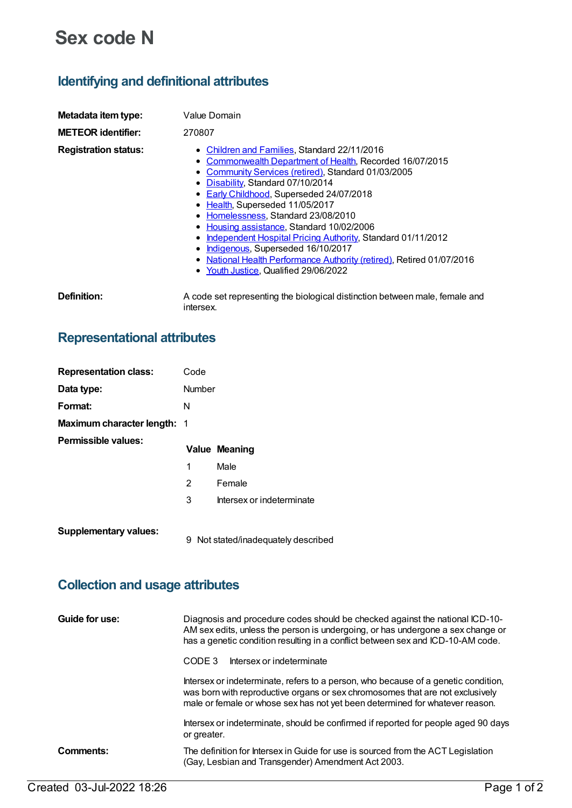# **Sex code N**

## **Identifying and definitional attributes**

| Metadata item type:         | Value Domain                                                                                                                                                                                                                                                                                                                                                                                                                                                                                                                                                                                                  |
|-----------------------------|---------------------------------------------------------------------------------------------------------------------------------------------------------------------------------------------------------------------------------------------------------------------------------------------------------------------------------------------------------------------------------------------------------------------------------------------------------------------------------------------------------------------------------------------------------------------------------------------------------------|
| <b>METEOR identifier:</b>   | 270807                                                                                                                                                                                                                                                                                                                                                                                                                                                                                                                                                                                                        |
| <b>Registration status:</b> | • Children and Families, Standard 22/11/2016<br>Commonwealth Department of Health, Recorded 16/07/2015<br>٠<br>• Community Services (retired), Standard 01/03/2005<br>Disability, Standard 07/10/2014<br>٠<br>• Early Childhood, Superseded 24/07/2018<br>Health, Superseded 11/05/2017<br>Homelessness, Standard 23/08/2010<br>٠<br>Housing assistance, Standard 10/02/2006<br>٠<br>Independent Hospital Pricing Authority, Standard 01/11/2012<br>Indigenous, Superseded 16/10/2017<br>٠<br>National Health Performance Authority (retired), Retired 01/07/2016<br>Youth Justice, Qualified 29/06/2022<br>٠ |
| Definition:                 | A code set representing the biological distinction between male, female and<br>intersex.                                                                                                                                                                                                                                                                                                                                                                                                                                                                                                                      |

## **Representational attributes**

| <b>Representation class:</b>       | Code           |                           |
|------------------------------------|----------------|---------------------------|
| Data type:                         | Number         |                           |
| Format:                            | N              |                           |
| <b>Maximum character length: 1</b> |                |                           |
| Permissible values:                |                | <b>Value Meaning</b>      |
|                                    | 1              | Male                      |
|                                    | $\overline{2}$ | Female                    |
|                                    | 3              | Intersex or indeterminate |
| <b>Supplementary values:</b>       |                |                           |

# **Collection and usage attributes**

| Guide for use: | Diagnosis and procedure codes should be checked against the national ICD-10-<br>AM sex edits, unless the person is undergoing, or has undergone a sex change or<br>has a genetic condition resulting in a conflict between sex and ICD-10-AM code.  |  |
|----------------|-----------------------------------------------------------------------------------------------------------------------------------------------------------------------------------------------------------------------------------------------------|--|
|                | Intersex or indeterminate<br>CODE 3                                                                                                                                                                                                                 |  |
|                | Intersex or indeterminate, refers to a person, who because of a genetic condition,<br>was born with reproductive organs or sex chromosomes that are not exclusively<br>male or female or whose sex has not yet been determined for whatever reason. |  |
|                | Intersex or indeterminate, should be confirmed if reported for people aged 90 days<br>or greater.                                                                                                                                                   |  |
| Comments:      | The definition for Intersex in Guide for use is sourced from the ACT Legislation<br>(Gay, Lesbian and Transgender) Amendment Act 2003.                                                                                                              |  |

9 Not stated/inadequately described